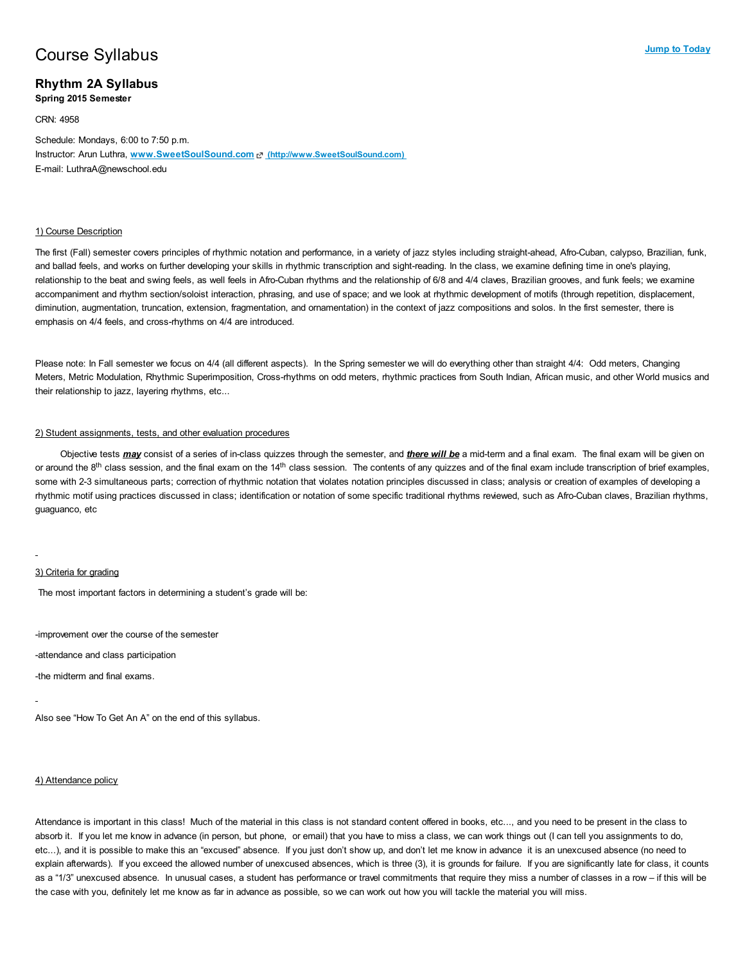# **Course Syllabus** and the Today of the Today of the Today of the Today of the Today of the Today of the Today of the Today of the Today of the Today of the Today of the Today of the Today of the Today of the Today of the T

## Rhythm 2A Syllabus

Spring 2015 Semester

#### CRN: 4958

Schedule: Mondays, 6:00 to 7:50 p.m. Instructor: Arun Luthra, www.SweetSoulSound.com & [\(http://www.SweetSoulSound.com\)](http://www.sweetsoulsound.com/) E-mail: LuthraA@newschool.edu

#### 1) Course Description

The first (Fall) semester covers principles of rhythmic notation and performance, in a variety of jazz styles including straight-ahead, Afro-Cuban, calypso, Brazilian, funk, and ballad feels, and works on further developing your skills in rhythmic transcription and sight-reading. In the class, we examine defining time in one's playing, relationship to the beat and swing feels, as well feels in Afro-Cuban rhythms and the relationship of 6/8 and 4/4 claves, Brazilian grooves, and funk feels; we examine accompaniment and rhythm section/soloist interaction, phrasing, and use of space; and we look at rhythmic development of motifs (through repetition, displacement, diminution, augmentation, truncation, extension, fragmentation, and ornamentation) in the context of jazz compositions and solos. In the first semester, there is emphasis on 4/4 feels, and cross-rhythms on 4/4 are introduced.

Please note: In Fall semester we focus on 4/4 (all different aspects). In the Spring semester we will do everything other than straight 4/4: Odd meters, Changing Meters, Metric Modulation, Rhythmic Superimposition, Cross-rhythms on odd meters, rhythmic practices from South Indian, African music, and other World musics and their relationship to jazz, layering rhythms, etc...

#### 2) Student assignments, tests, and other evaluation procedures

Objective tests **may** consist of a series of in-class quizzes through the semester, and *there will be* a mid-term and a final exam. The final exam will be given on or around the 8<sup>th</sup> class session, and the final exam on the 14<sup>th</sup> class session. The contents of any quizzes and of the final exam include transcription of brief examples, some with 2-3 simultaneous parts; correction of rhythmic notation that violates notation principles discussed in class; analysis or creation of examples of developing a rhythmic motif using practices discussed in class; identification or notation of some specific traditional rhythms reviewed, such as Afro-Cuban claves, Brazilian rhythms, guaguanco, etc

#### 3) Criteria for grading

The most important factors in determining a student's grade will be:

-improvement over the course of the semester

-attendance and class participation

-the midterm and final exams.

Also see "How To Get An A" on the end of this syllabus.

#### 4) Attendance policy

Attendance is important in this class! Much of the material in this class is not standard content offered in books, etc..., and you need to be present in the class to absorb it. If you let me know in advance (in person, but phone, or email) that you have to miss a class, we can work things out (I can tell you assignments to do, etc...), and it is possible to make this an "excused" absence. If you just don't show up, and don't let me know in advance it is an unexcused absence (no need to explain afterwards). If you exceed the allowed number of unexcused absences, which is three (3), it is grounds for failure. If you are significantly late for class, it counts as a "1/3" unexcused absence. In unusual cases, a student has performance or travel commitments that require they miss a number of classes in a row – if this will be the case with you, definitely let me know as far in advance as possible, so we can work out how you will tackle the material you will miss.